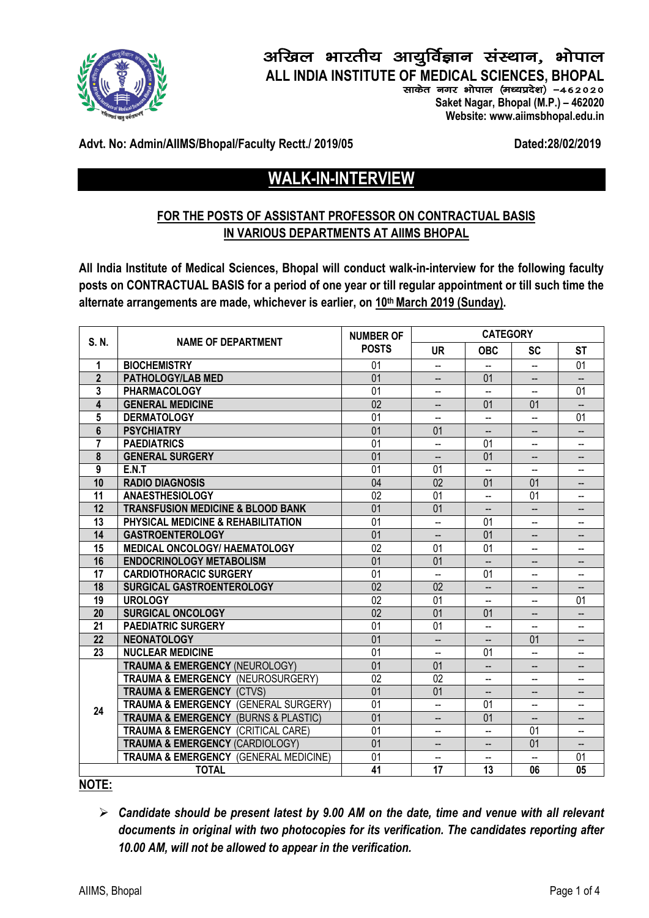

## अखिल भारतीय आयुर्विज्ञान संस्थान, भोपाल **ALL INDIA INSTITUTE OF MEDICAL SCIENCES, BHOPAL**

साकेत नगर भोपाल (मध्यप्रदेश) -462020

 **Saket Nagar, Bhopal (M.P.) – 462020 Website: www.aiimsbhopal.edu.in**

Advt. No: Admin/AIIMS/Bhopal/Faculty Rectt./ 2019/05 Dated:28/02/2019

# **WALK-IN-INTERVIEW**

## **FOR THE POSTS OF ASSISTANT PROFESSOR ON CONTRACTUAL BASIS IN VARIOUS DEPARTMENTS AT AIIMS BHOPAL**

**All India Institute of Medical Sciences, Bhopal will conduct walk-in-interview for the following faculty posts on CONTRACTUAL BASIS for a period of one year or till regular appointment or till such time the alternate arrangements are made, whichever is earlier, on 10th March 2019 (Sunday).**

| S.N.           | <b>NAME OF DEPARTMENT</b>                           | <b>NUMBER OF</b><br><b>POSTS</b> | <b>CATEGORY</b>          |                              |                                     |                                    |
|----------------|-----------------------------------------------------|----------------------------------|--------------------------|------------------------------|-------------------------------------|------------------------------------|
|                |                                                     |                                  | UR.                      | <b>OBC</b>                   | <b>SC</b>                           | <b>ST</b>                          |
| 1              | <b>BIOCHEMISTRY</b>                                 | 01                               | --                       |                              | --                                  | 01                                 |
| $\overline{2}$ | <b>PATHOLOGY/LAB MED</b>                            | 01                               | $\overline{\phantom{a}}$ | 01                           | $\overline{\phantom{a}}$            | $\overline{\phantom{a}}$           |
| 3              | <b>PHARMACOLOGY</b>                                 | 01                               | --                       | ш.                           |                                     | 01                                 |
| 4              | <b>GENERAL MEDICINE</b>                             | 02                               | --                       | 01                           | 01                                  | --                                 |
| 5              | <b>DERMATOLOGY</b>                                  | 01                               | --                       | $\overline{\phantom{a}}$     |                                     | 01                                 |
| 6              | <b>PSYCHIATRY</b>                                   | $\overline{01}$                  | $\overline{01}$          | $\qquad \qquad \qquad -$     |                                     | $\overline{\phantom{a}}$           |
| 7              | <b>PAEDIATRICS</b>                                  | 01                               | ш.                       | 01                           | --                                  | --                                 |
| 8              | <b>GENERAL SURGERY</b>                              | 01                               | --                       | 01                           | --                                  | $\overline{\phantom{a}}$           |
| $\overline{9}$ | E.N.T                                               | $\overline{01}$                  | $\overline{01}$          | ۰.                           |                                     |                                    |
| 10             | <b>RADIO DIAGNOSIS</b>                              | 04                               | 02                       | 01                           | 01                                  | --                                 |
| 11             | <b>ANAESTHESIOLOGY</b>                              | 02                               | 01                       | $\overline{\phantom{a}}$     | 01                                  | $\overline{\phantom{a}}$           |
| 12             | <b>TRANSFUSION MEDICINE &amp; BLOOD BANK</b>        | 01                               | 01                       | --                           | $\overline{\phantom{a}}$            | $\overline{\phantom{a}}$           |
| 13             | <b>PHYSICAL MEDICINE &amp; REHABILITATION</b>       | 01                               | ш.                       | 01                           | --                                  | $\overline{\phantom{a}}$           |
| 14             | <b>GASTROENTEROLOGY</b>                             | 01                               | $\overline{\phantom{a}}$ | 01                           | $\overline{\phantom{a}}$            | $\overline{\phantom{a}}$           |
| 15             | MEDICAL ONCOLOGY/ HAEMATOLOGY                       | 02                               | 01                       | 01                           | --                                  | $\overline{\phantom{a}}$           |
| 16             | <b>ENDOCRINOLOGY METABOLISM</b>                     | 01                               | 01                       | --                           |                                     | --                                 |
| 17             | <b>CARDIOTHORACIC SURGERY</b>                       | 01                               | ш,                       | 01                           | $\overline{a}$                      | $\overline{\phantom{a}}$           |
| 18             | SURGICAL GASTROENTEROLOGY                           | $\overline{02}$                  | $\overline{02}$          | $\qquad \qquad \qquad -$     |                                     |                                    |
| 19             | <b>UROLOGY</b>                                      | 02                               | 01                       | $\qquad \qquad \blacksquare$ | --                                  | 01                                 |
| 20             | <b>SURGICAL ONCOLOGY</b>                            | 02                               | 01                       | 01                           | $\hspace{0.05cm}$ $\hspace{0.05cm}$ | $\hspace{0.05cm} -\hspace{0.05cm}$ |
| 21             | <b>PAEDIATRIC SURGERY</b>                           | 01                               | 01                       |                              |                                     |                                    |
| 22             | <b>NEONATOLOGY</b>                                  | 01                               | --                       |                              | 01                                  |                                    |
| 23             | <b>NUCLEAR MEDICINE</b>                             | 01                               | Ш.                       | 01                           | Ξ.                                  | --                                 |
| 24             | <b>TRAUMA &amp; EMERGENCY (NEUROLOGY)</b>           | 01                               | 01                       | --                           |                                     | --                                 |
|                | <b>TRAUMA &amp; EMERGENCY (NEUROSURGERY)</b>        | 02                               | 02                       | $\qquad \qquad \blacksquare$ | $\overline{\phantom{a}}$            | $\overline{\phantom{a}}$           |
|                | <b>TRAUMA &amp; EMERGENCY (CTVS)</b>                | $\overline{01}$                  | $\overline{01}$          | $\overline{\phantom{a}}$     | $\overline{\phantom{a}}$            | $\hspace{0.05cm} -\hspace{0.05cm}$ |
|                | <b>TRAUMA &amp; EMERGENCY (GENERAL SURGERY)</b>     | $\overline{01}$                  | $-$                      | 01                           | $\overline{\phantom{a}}$            | $\overline{a}$                     |
|                | <b>TRAUMA &amp; EMERGENCY (BURNS &amp; PLASTIC)</b> | 01                               | $\overline{\phantom{a}}$ | 01                           | --                                  | --                                 |
|                | <b>TRAUMA &amp; EMERGENCY (CRITICAL CARE)</b>       | 01                               | ۰.                       | $\overline{\phantom{a}}$     | 01                                  | --                                 |
|                | <b>TRAUMA &amp; EMERGENCY (CARDIOLOGY)</b>          | 01                               |                          |                              | 01                                  |                                    |
|                | <b>TRAUMA &amp; EMERGENCY (GENERAL MEDICINE)</b>    | 01                               | $\overline{a}$           | $\overline{\phantom{a}}$     | $\overline{a}$                      | 01                                 |
| <b>TOTAL</b>   |                                                     | 41                               | 17                       | 13                           | 06                                  | 05                                 |

**NOTE:** 

Ø *Candidate should be present latest by 9.00 AM on the date, time and venue with all relevant documents in original with two photocopies for its verification. The candidates reporting after 10.00 AM, will not be allowed to appear in the verification.*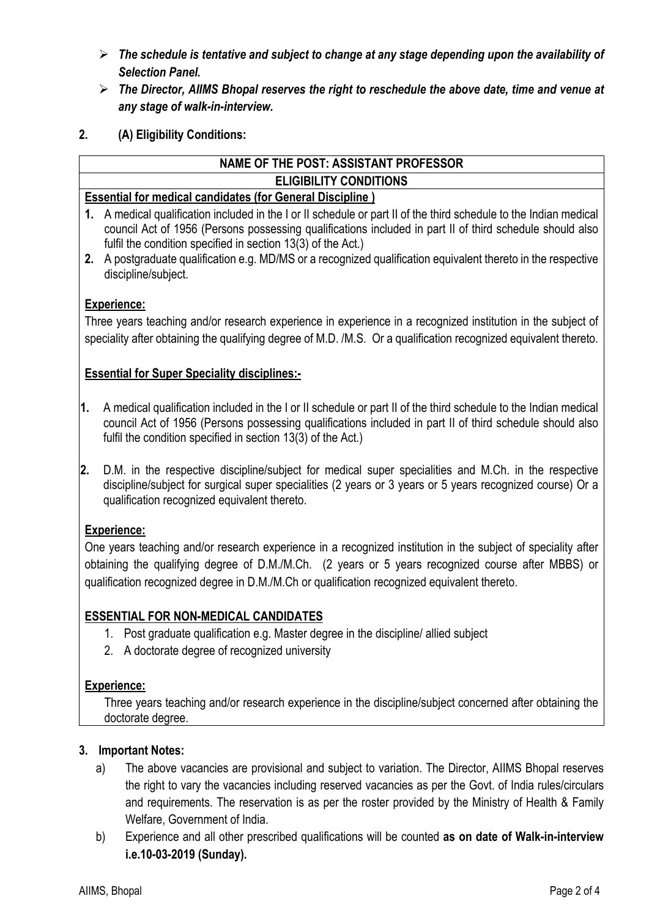- Ø *The schedule is tentative and subject to change at any stage depending upon the availability of Selection Panel.*
- Ø *The Director, AIIMS Bhopal reserves the right to reschedule the above date, time and venue at any stage of walk-in-interview.*
- **2. (A) Eligibility Conditions:**

## **NAME OF THE POST: ASSISTANT PROFESSOR ELIGIBILITY CONDITIONS**

#### **Essential for medical candidates (for General Discipline )**

- **1.** A medical qualification included in the I or II schedule or part II of the third schedule to the Indian medical council Act of 1956 (Persons possessing qualifications included in part II of third schedule should also fulfil the condition specified in section 13(3) of the Act.)
- **2.** A postgraduate qualification e.g. MD/MS or a recognized qualification equivalent thereto in the respective discipline/subject.

## **Experience:**

Three years teaching and/or research experience in experience in a recognized institution in the subject of speciality after obtaining the qualifying degree of M.D. /M.S. Or a qualification recognized equivalent thereto.

#### **Essential for Super Speciality disciplines:-**

- **1.** A medical qualification included in the I or II schedule or part II of the third schedule to the Indian medical council Act of 1956 (Persons possessing qualifications included in part II of third schedule should also fulfil the condition specified in section 13(3) of the Act.)
- **2.** D.M. in the respective discipline/subject for medical super specialities and M.Ch. in the respective discipline/subject for surgical super specialities (2 years or 3 years or 5 years recognized course) Or a qualification recognized equivalent thereto.

#### **Experience:**

One years teaching and/or research experience in a recognized institution in the subject of speciality after obtaining the qualifying degree of D.M./M.Ch. (2 years or 5 years recognized course after MBBS) or qualification recognized degree in D.M./M.Ch or qualification recognized equivalent thereto.

## **ESSENTIAL FOR NON-MEDICAL CANDIDATES**

- 1. Post graduate qualification e.g. Master degree in the discipline/ allied subject
- 2. A doctorate degree of recognized university

#### **Experience:**

Three years teaching and/or research experience in the discipline/subject concerned after obtaining the doctorate degree.

#### **3. Important Notes:**

- a) The above vacancies are provisional and subject to variation. The Director, AIIMS Bhopal reserves the right to vary the vacancies including reserved vacancies as per the Govt. of India rules/circulars and requirements. The reservation is as per the roster provided by the Ministry of Health & Family Welfare, Government of India.
- b) Experience and all other prescribed qualifications will be counted **as on date of Walk-in-interview i.e.10-03-2019 (Sunday).**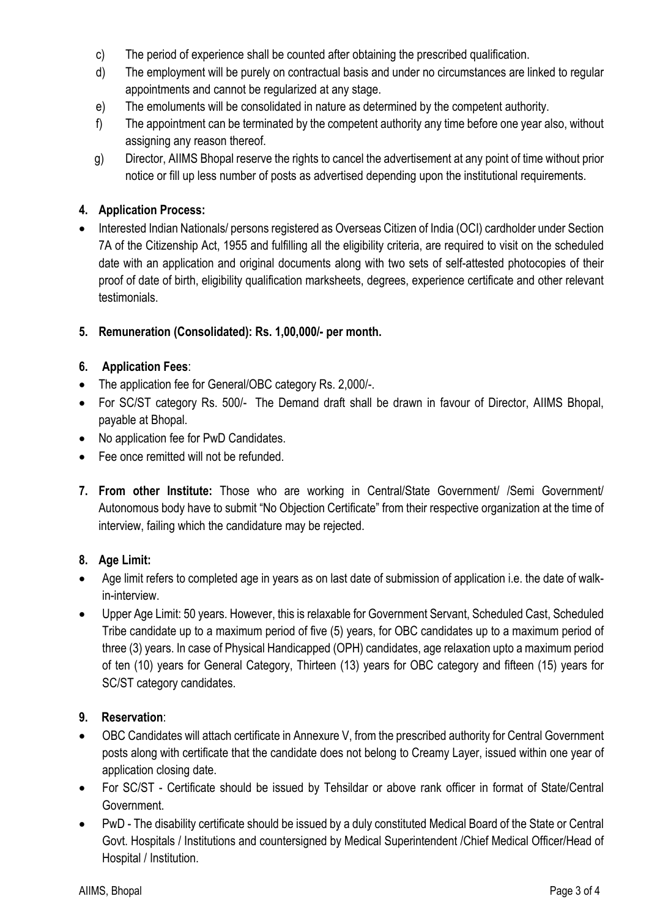- c) The period of experience shall be counted after obtaining the prescribed qualification.
- d) The employment will be purely on contractual basis and under no circumstances are linked to regular appointments and cannot be regularized at any stage.
- e) The emoluments will be consolidated in nature as determined by the competent authority.
- f) The appointment can be terminated by the competent authority any time before one year also, without assigning any reason thereof.
- g) Director, AIIMS Bhopal reserve the rights to cancel the advertisement at any point of time without prior notice or fill up less number of posts as advertised depending upon the institutional requirements.

## **4. Application Process:**

• Interested Indian Nationals/ persons registered as Overseas Citizen of India (OCI) cardholder under Section 7A of the Citizenship Act, 1955 and fulfilling all the eligibility criteria, are required to visit on the scheduled date with an application and original documents along with two sets of self-attested photocopies of their proof of date of birth, eligibility qualification marksheets, degrees, experience certificate and other relevant testimonials.

## **5. Remuneration (Consolidated): Rs. 1,00,000/- per month.**

## **6. Application Fees**:

- The application fee for General/OBC category Rs. 2,000/-.
- For SC/ST category Rs. 500/- The Demand draft shall be drawn in favour of Director. AllMS Bhopal, payable at Bhopal.
- No application fee for PwD Candidates.
- Fee once remitted will not be refunded.
- **7. From other Institute:** Those who are working in Central/State Government/ /Semi Government/ Autonomous body have to submit "No Objection Certificate" from their respective organization at the time of interview, failing which the candidature may be rejected.

## **8. Age Limit:**

- Age limit refers to completed age in years as on last date of submission of application i.e. the date of walkin-interview.
- Upper Age Limit: 50 years. However, this is relaxable for Government Servant, Scheduled Cast, Scheduled Tribe candidate up to a maximum period of five (5) years, for OBC candidates up to a maximum period of three (3) years. In case of Physical Handicapped (OPH) candidates, age relaxation upto a maximum period of ten (10) years for General Category, Thirteen (13) years for OBC category and fifteen (15) years for SC/ST category candidates.

## **9. Reservation**:

- OBC Candidates will attach certificate in Annexure V, from the prescribed authority for Central Government posts along with certificate that the candidate does not belong to Creamy Layer, issued within one year of application closing date.
- For SC/ST Certificate should be issued by Tehsildar or above rank officer in format of State/Central Government.
- PwD The disability certificate should be issued by a duly constituted Medical Board of the State or Central Govt. Hospitals / Institutions and countersigned by Medical Superintendent /Chief Medical Officer/Head of Hospital / Institution.